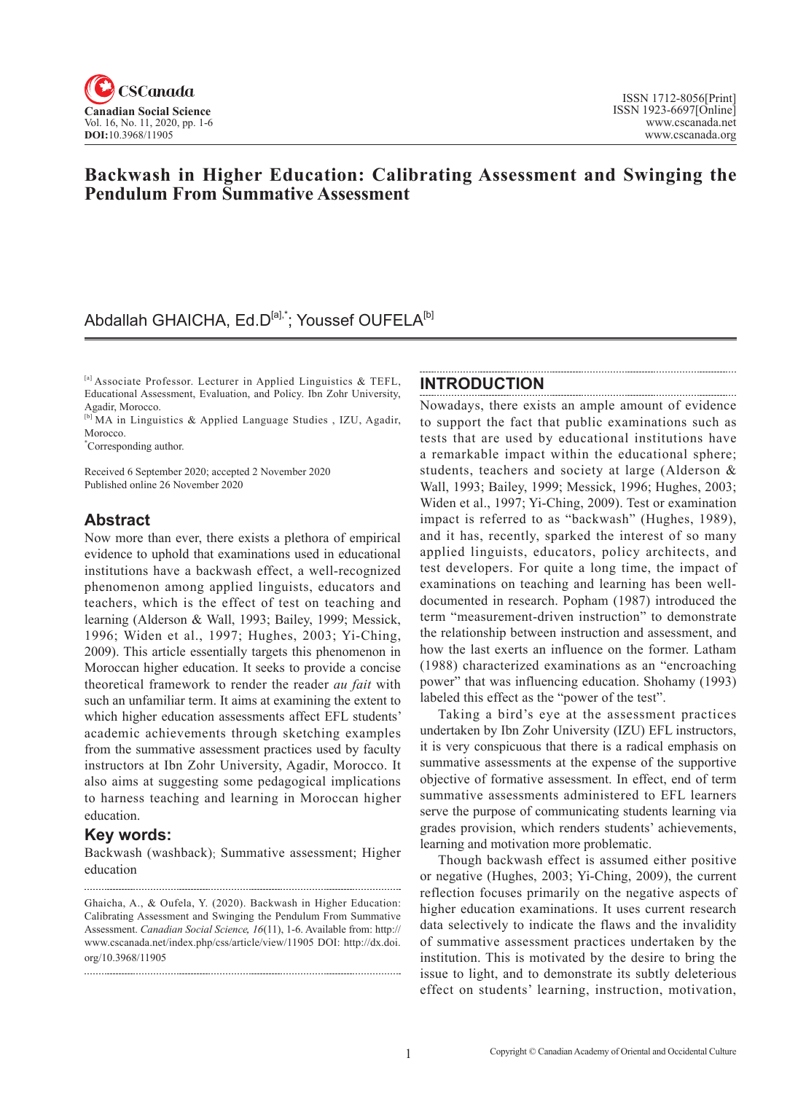

### **Backwash in Higher Education: Calibrating assessment and swinging the pendulum From Summative Assessment**

# Abdallah GHAICHA, Ed.D<sup>[a],\*</sup>; Youssef OUFELA<sup>[b]</sup>

[a] Associate Professor. Lecturer in Applied Linguistics & TEFL, Educational Assessment, Evaluation, and Policy. Ibn Zohr University, Agadir, Morocco.

[b] MA in Linguistics & Applied Language Studies , IZU, Agadir, Morocco.

\* Corresponding author.

Received 6 September 2020; accepted 2 November 2020 Published online 26 November 2020

### **Abstract**

Now more than ever, there exists a plethora of empirical evidence to uphold that examinations used in educational institutions have a backwash effect, a well-recognized phenomenon among applied linguists, educators and teachers, which is the effect of test on teaching and learning (Alderson & Wall, 1993; Bailey, 1999; Messick, 1996; Widen et al., 1997; Hughes, 2003; Yi-Ching, 2009). This article essentially targets this phenomenon in Moroccan higher education. It seeks to provide a concise theoretical framework to render the reader *au fait* with such an unfamiliar term. It aims at examining the extent to which higher education assessments affect EFL students' academic achievements through sketching examples from the summative assessment practices used by faculty instructors at Ibn Zohr University, Agadir, Morocco. It also aims at suggesting some pedagogical implications to harness teaching and learning in Moroccan higher education.

### **Key words:**

Backwash (washback); Summative assessment; Higher education

### **Introduction**

Nowadays, there exists an ample amount of evidence to support the fact that public examinations such as tests that are used by educational institutions have a remarkable impact within the educational sphere; students, teachers and society at large (Alderson & Wall, 1993; Bailey, 1999; Messick, 1996; Hughes, 2003; Widen et al., 1997; Yi-Ching, 2009). Test or examination impact is referred to as "backwash" (Hughes, 1989), and it has, recently, sparked the interest of so many applied linguists, educators, policy architects, and test developers. For quite a long time, the impact of examinations on teaching and learning has been welldocumented in research. Popham (1987) introduced the term "measurement-driven instruction" to demonstrate the relationship between instruction and assessment, and how the last exerts an influence on the former. Latham (1988) characterized examinations as an "encroaching power" that was influencing education. Shohamy (1993) labeled this effect as the "power of the test".

Taking a bird's eye at the assessment practices undertaken by Ibn Zohr University (IZU) EFL instructors, it is very conspicuous that there is a radical emphasis on summative assessments at the expense of the supportive objective of formative assessment. In effect, end of term summative assessments administered to EFL learners serve the purpose of communicating students learning via grades provision, which renders students' achievements, learning and motivation more problematic.

Though backwash effect is assumed either positive or negative (Hughes, 2003; Yi-Ching, 2009), the current reflection focuses primarily on the negative aspects of higher education examinations. It uses current research data selectively to indicate the flaws and the invalidity of summative assessment practices undertaken by the institution. This is motivated by the desire to bring the issue to light, and to demonstrate its subtly deleterious effect on students' learning, instruction, motivation,

Ghaicha, A., & Oufela, Y. (2020). Backwash in Higher Education: Calibrating Assessment and Swinging the Pendulum From Summative Assessment. *Canadian Social Science*, <sup>16</sup>(11), 1-6. Available from: http:// www.cscanada.net/index.php/css/article/view/11905 DOI: http://dx.doi. org/10.3968/11905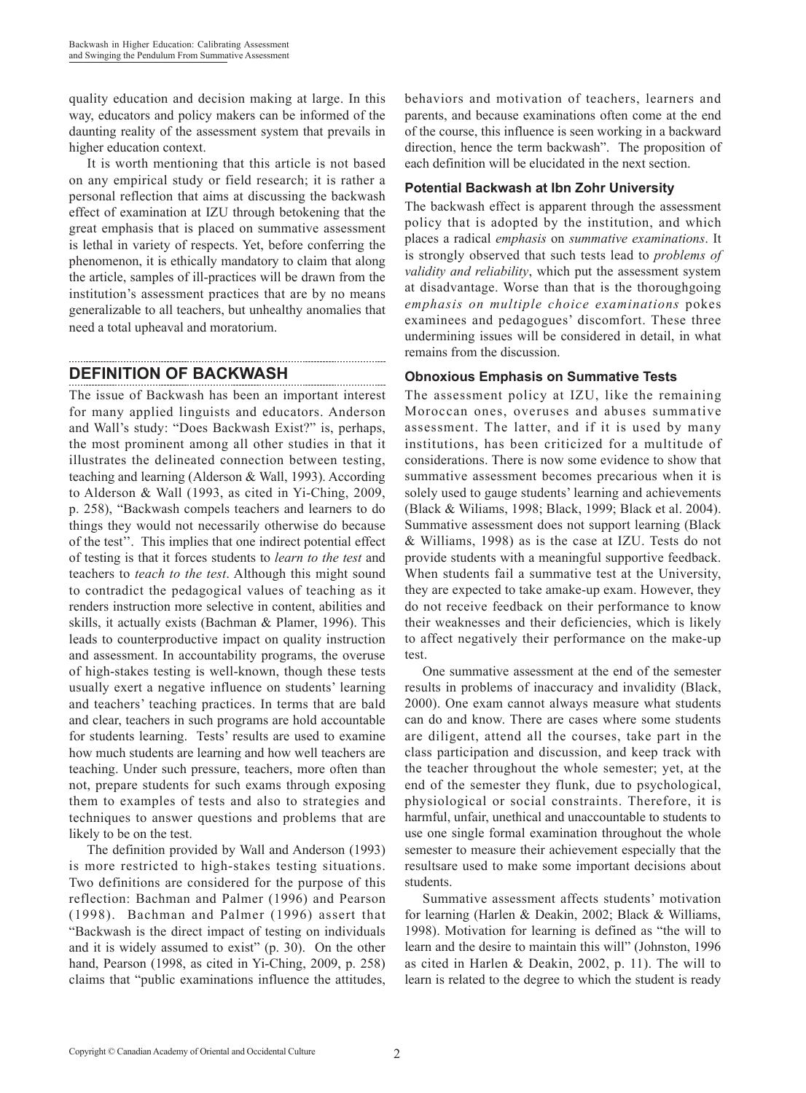quality education and decision making at large. In this way, educators and policy makers can be informed of the daunting reality of the assessment system that prevails in higher education context.

It is worth mentioning that this article is not based on any empirical study or field research; it is rather a personal reflection that aims at discussing the backwash effect of examination at IZU through betokening that the great emphasis that is placed on summative assessment is lethal in variety of respects. Yet, before conferring the phenomenon, it is ethically mandatory to claim that along the article, samples of ill-practices will be drawn from the institution's assessment practices that are by no means generalizable to all teachers, but unhealthy anomalies that need a total upheaval and moratorium.

#### **Definition of Backwash**

The issue of Backwash has been an important interest for many applied linguists and educators. Anderson and Wall's study: "Does Backwash Exist?" is, perhaps, the most prominent among all other studies in that it illustrates the delineated connection between testing, teaching and learning (Alderson & Wall, 1993). According to Alderson & Wall (1993, as cited in Yi-Ching, 2009, p. 258), "Backwash compels teachers and learners to do things they would not necessarily otherwise do because of the test''. This implies that one indirect potential effect of testing is that it forces students to *learn to the test* and teachers to *teach to the test*. Although this might sound to contradict the pedagogical values of teaching as it renders instruction more selective in content, abilities and skills, it actually exists (Bachman & Plamer, 1996). This leads to counterproductive impact on quality instruction and assessment. In accountability programs, the overuse of high-stakes testing is well-known, though these tests usually exert a negative influence on students' learning and teachers' teaching practices. In terms that are bald and clear, teachers in such programs are hold accountable for students learning. Tests' results are used to examine how much students are learning and how well teachers are teaching. Under such pressure, teachers, more often than not, prepare students for such exams through exposing them to examples of tests and also to strategies and techniques to answer questions and problems that are likely to be on the test.

The definition provided by Wall and Anderson (1993) is more restricted to high-stakes testing situations. Two definitions are considered for the purpose of this reflection: Bachman and Palmer (1996) and Pearson (1998). Bachman and Palmer (1996) assert that "Backwash is the direct impact of testing on individuals and it is widely assumed to exist" (p. 30). On the other hand, Pearson (1998, as cited in Yi-Ching, 2009, p. 258) claims that "public examinations influence the attitudes, behaviors and motivation of teachers, learners and parents, and because examinations often come at the end of the course, this influence is seen working in a backward direction, hence the term backwash". The proposition of each definition will be elucidated in the next section.

#### **Potential Backwash at Ibn Zohr University**

The backwash effect is apparent through the assessment policy that is adopted by the institution, and which places a radical *emphasis* on *summative examinations*. It is strongly observed that such tests lead to *problems of validity and reliability*, which put the assessment system at disadvantage. Worse than that is the thoroughgoing *emphasis on multiple choice examinations* pokes examinees and pedagogues' discomfort. These three undermining issues will be considered in detail, in what remains from the discussion.

### **Obnoxious Emphasis on Summative Tests**

The assessment policy at IZU, like the remaining Moroccan ones, overuses and abuses summative assessment. The latter, and if it is used by many institutions, has been criticized for a multitude of considerations. There is now some evidence to show that summative assessment becomes precarious when it is solely used to gauge students' learning and achievements (Black & Wiliams, 1998; Black, 1999; Black et al. 2004). Summative assessment does not support learning (Black & Williams, 1998) as is the case at IZU. Tests do not provide students with a meaningful supportive feedback. When students fail a summative test at the University, they are expected to take amake-up exam. However, they do not receive feedback on their performance to know their weaknesses and their deficiencies, which is likely to affect negatively their performance on the make-up test.

One summative assessment at the end of the semester results in problems of inaccuracy and invalidity (Black, 2000). One exam cannot always measure what students can do and know. There are cases where some students are diligent, attend all the courses, take part in the class participation and discussion, and keep track with the teacher throughout the whole semester; yet, at the end of the semester they flunk, due to psychological, physiological or social constraints. Therefore, it is harmful, unfair, unethical and unaccountable to students to use one single formal examination throughout the whole semester to measure their achievement especially that the resultsare used to make some important decisions about students.

Summative assessment affects students' motivation for learning (Harlen & Deakin, 2002; Black & Williams, 1998). Motivation for learning is defined as "the will to learn and the desire to maintain this will" (Johnston, 1996 as cited in Harlen & Deakin, 2002, p. 11). The will to learn is related to the degree to which the student is ready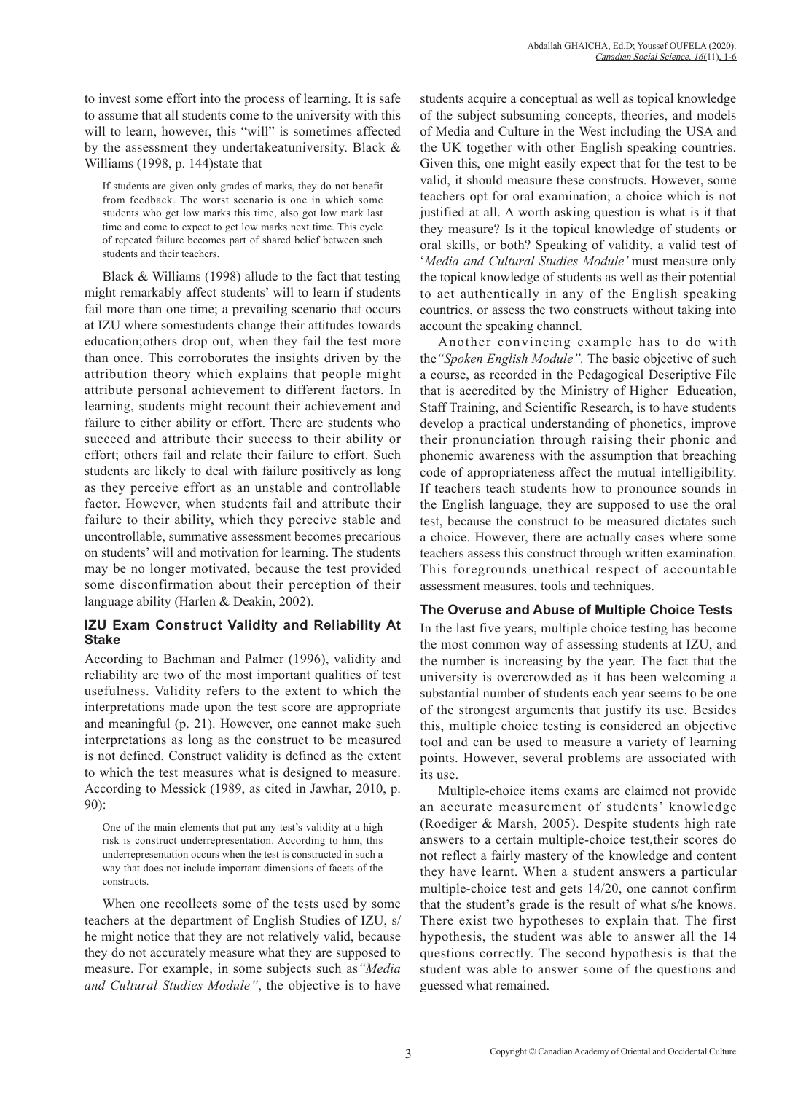to invest some effort into the process of learning. It is safe to assume that all students come to the university with this will to learn, however, this "will" is sometimes affected by the assessment they undertakeatuniversity. Black & Williams (1998, p. 144)state that

If students are given only grades of marks, they do not benefit from feedback. The worst scenario is one in which some students who get low marks this time, also got low mark last time and come to expect to get low marks next time. This cycle of repeated failure becomes part of shared belief between such students and their teachers.

Black & Williams (1998) allude to the fact that testing might remarkably affect students' will to learn if students fail more than one time; a prevailing scenario that occurs at IZU where somestudents change their attitudes towards education;others drop out, when they fail the test more than once. This corroborates the insights driven by the attribution theory which explains that people might attribute personal achievement to different factors. In learning, students might recount their achievement and failure to either ability or effort. There are students who succeed and attribute their success to their ability or effort; others fail and relate their failure to effort. Such students are likely to deal with failure positively as long as they perceive effort as an unstable and controllable factor. However, when students fail and attribute their failure to their ability, which they perceive stable and uncontrollable, summative assessment becomes precarious on students' will and motivation for learning. The students may be no longer motivated, because the test provided some disconfirmation about their perception of their language ability (Harlen & Deakin, 2002).

#### **IZU Exam Construct Validity and Reliability At Stake**

According to Bachman and Palmer (1996), validity and reliability are two of the most important qualities of test usefulness. Validity refers to the extent to which the interpretations made upon the test score are appropriate and meaningful (p. 21). However, one cannot make such interpretations as long as the construct to be measured is not defined. Construct validity is defined as the extent to which the test measures what is designed to measure. According to Messick (1989, as cited in Jawhar, 2010, p. 90):

One of the main elements that put any test's validity at a high risk is construct underrepresentation. According to him, this underrepresentation occurs when the test is constructed in such a way that does not include important dimensions of facets of the constructs.

When one recollects some of the tests used by some teachers at the department of English Studies of IZU, s/ he might notice that they are not relatively valid, because they do not accurately measure what they are supposed to measure. For example, in some subjects such as*"Media and Cultural Studies Module"*, the objective is to have students acquire a conceptual as well as topical knowledge of the subject subsuming concepts, theories, and models of Media and Culture in the West including the USA and the UK together with other English speaking countries. Given this, one might easily expect that for the test to be valid, it should measure these constructs. However, some teachers opt for oral examination; a choice which is not justified at all. A worth asking question is what is it that they measure? Is it the topical knowledge of students or oral skills, or both? Speaking of validity, a valid test of '*Media and Cultural Studies Module'* must measure only the topical knowledge of students as well as their potential to act authentically in any of the English speaking countries, or assess the two constructs without taking into account the speaking channel.

Another convincing example has to do with the*"Spoken English Module".* The basic objective of such a course, as recorded in the Pedagogical Descriptive File that is accredited by the Ministry of Higher Education, Staff Training, and Scientific Research, is to have students develop a practical understanding of phonetics, improve their pronunciation through raising their phonic and phonemic awareness with the assumption that breaching code of appropriateness affect the mutual intelligibility. If teachers teach students how to pronounce sounds in the English language, they are supposed to use the oral test, because the construct to be measured dictates such a choice. However, there are actually cases where some teachers assess this construct through written examination. This foregrounds unethical respect of accountable assessment measures, tools and techniques.

#### **The Overuse and Abuse of Multiple Choice Tests**

In the last five years, multiple choice testing has become the most common way of assessing students at IZU, and the number is increasing by the year. The fact that the university is overcrowded as it has been welcoming a substantial number of students each year seems to be one of the strongest arguments that justify its use. Besides this, multiple choice testing is considered an objective tool and can be used to measure a variety of learning points. However, several problems are associated with its use.

Multiple-choice items exams are claimed not provide an accurate measurement of students' knowledge (Roediger & Marsh, 2005). Despite students high rate answers to a certain multiple-choice test,their scores do not reflect a fairly mastery of the knowledge and content they have learnt. When a student answers a particular multiple-choice test and gets 14/20, one cannot confirm that the student's grade is the result of what s/he knows. There exist two hypotheses to explain that. The first hypothesis, the student was able to answer all the 14 questions correctly. The second hypothesis is that the student was able to answer some of the questions and guessed what remained.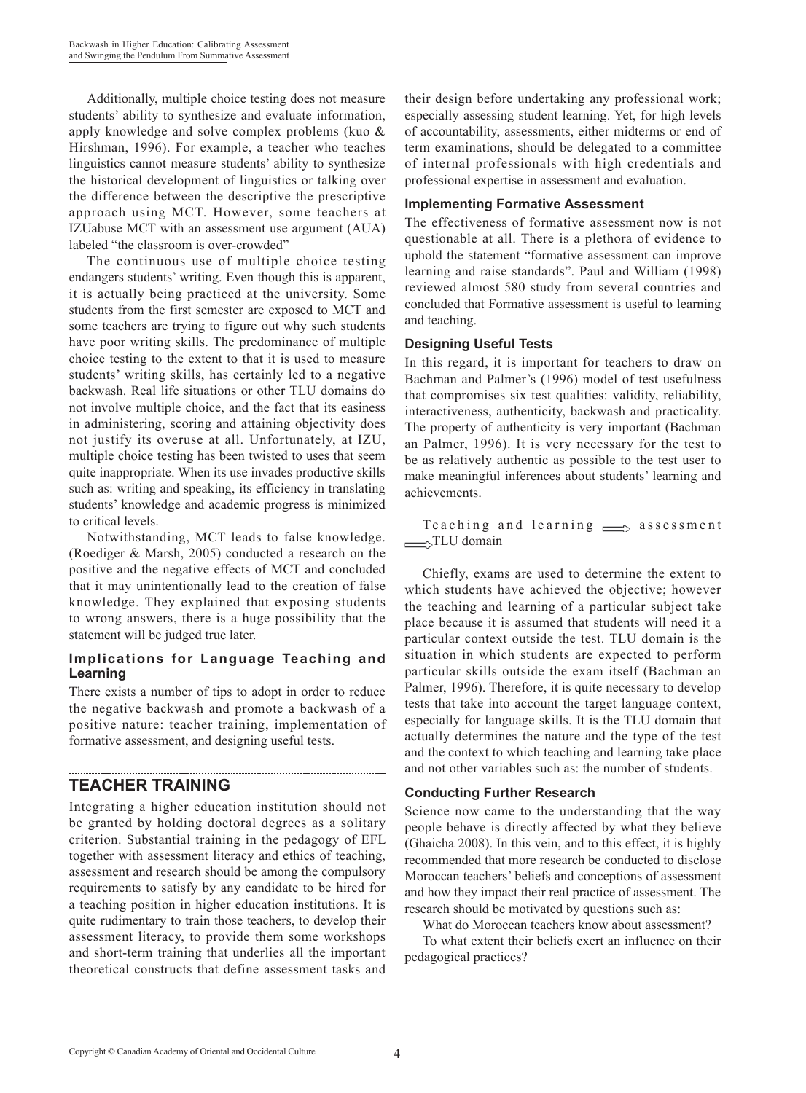Additionally, multiple choice testing does not measure students' ability to synthesize and evaluate information, apply knowledge and solve complex problems (kuo & Hirshman, 1996). For example, a teacher who teaches linguistics cannot measure students' ability to synthesize the historical development of linguistics or talking over the difference between the descriptive the prescriptive approach using MCT. However, some teachers at IZUabuse MCT with an assessment use argument (AUA) labeled "the classroom is over-crowded"

The continuous use of multiple choice testing endangers students' writing. Even though this is apparent, it is actually being practiced at the university. Some students from the first semester are exposed to MCT and some teachers are trying to figure out why such students have poor writing skills. The predominance of multiple choice testing to the extent to that it is used to measure students' writing skills, has certainly led to a negative backwash. Real life situations or other TLU domains do not involve multiple choice, and the fact that its easiness in administering, scoring and attaining objectivity does not justify its overuse at all. Unfortunately, at IZU, multiple choice testing has been twisted to uses that seem quite inappropriate. When its use invades productive skills such as: writing and speaking, its efficiency in translating students' knowledge and academic progress is minimized to critical levels.

Notwithstanding, MCT leads to false knowledge. (Roediger & Marsh, 2005) conducted a research on the positive and the negative effects of MCT and concluded that it may unintentionally lead to the creation of false knowledge. They explained that exposing students to wrong answers, there is a huge possibility that the statement will be judged true later.

#### **Implications for Language Teaching and Learning**

There exists a number of tips to adopt in order to reduce the negative backwash and promote a backwash of a positive nature: teacher training, implementation of formative assessment, and designing useful tests.

## **Teacher Training**

Integrating a higher education institution should not be granted by holding doctoral degrees as a solitary criterion. Substantial training in the pedagogy of EFL together with assessment literacy and ethics of teaching, assessment and research should be among the compulsory requirements to satisfy by any candidate to be hired for a teaching position in higher education institutions. It is quite rudimentary to train those teachers, to develop their assessment literacy, to provide them some workshops and short-term training that underlies all the important theoretical constructs that define assessment tasks and their design before undertaking any professional work; especially assessing student learning. Yet, for high levels of accountability, assessments, either midterms or end of term examinations, should be delegated to a committee of internal professionals with high credentials and professional expertise in assessment and evaluation.

#### **Implementing Formative Assessment**

The effectiveness of formative assessment now is not questionable at all. There is a plethora of evidence to uphold the statement "formative assessment can improve learning and raise standards". Paul and William (1998) reviewed almost 580 study from several countries and concluded that Formative assessment is useful to learning and teaching.

#### **Designing Useful Tests**

In this regard, it is important for teachers to draw on Bachman and Palmer's (1996) model of test usefulness that compromises six test qualities: validity, reliability, interactiveness, authenticity, backwash and practicality. The property of authenticity is very important (Bachman an Palmer, 1996). It is very necessary for the test to be as relatively authentic as possible to the test user to make meaningful inferences about students' learning and achievements.

Teaching and learning  $\Longrightarrow$  assessment STLU domain

Chiefly, exams are used to determine the extent to which students have achieved the objective; however the teaching and learning of a particular subject take place because it is assumed that students will need it a particular context outside the test. TLU domain is the situation in which students are expected to perform particular skills outside the exam itself (Bachman an Palmer, 1996). Therefore, it is quite necessary to develop tests that take into account the target language context, especially for language skills. It is the TLU domain that actually determines the nature and the type of the test and the context to which teaching and learning take place and not other variables such as: the number of students.

#### **Conducting Further Research**

Science now came to the understanding that the way people behave is directly affected by what they believe (Ghaicha 2008). In this vein, and to this effect, it is highly recommended that more research be conducted to disclose Moroccan teachers' beliefs and conceptions of assessment and how they impact their real practice of assessment. The research should be motivated by questions such as:

What do Moroccan teachers know about assessment?

To what extent their beliefs exert an influence on their pedagogical practices?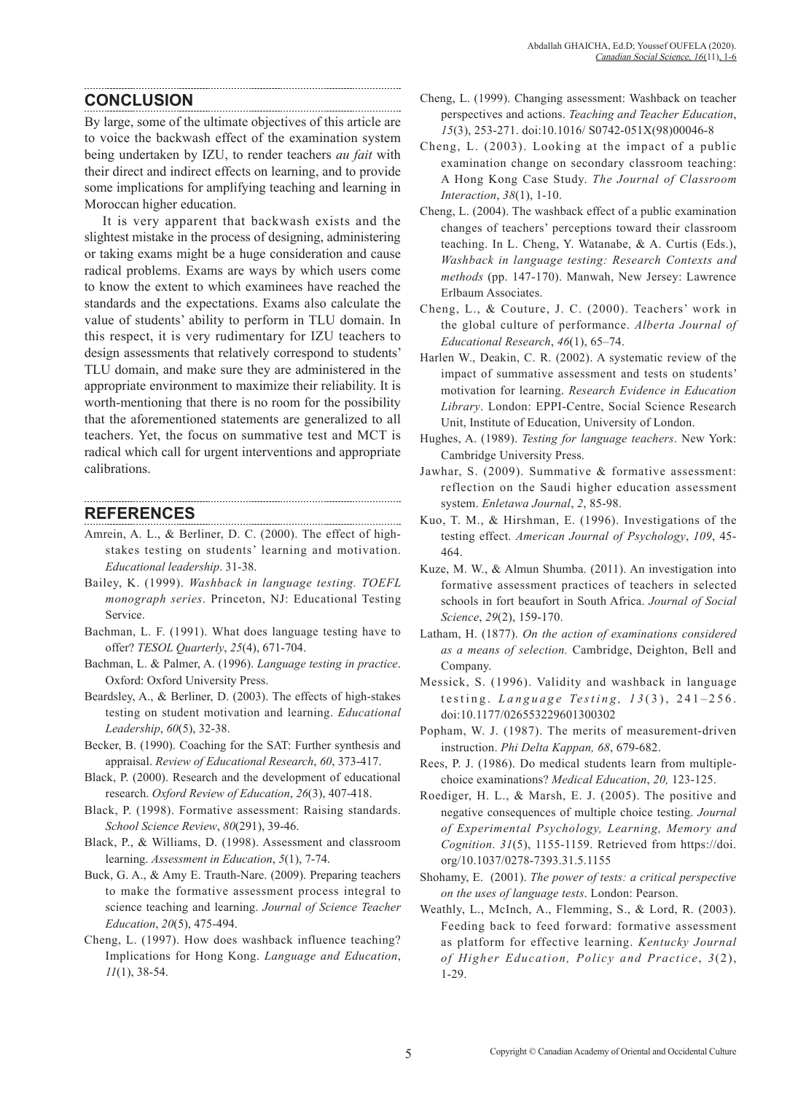### **Conclusion**

By large, some of the ultimate objectives of this article are to voice the backwash effect of the examination system being undertaken by IZU, to render teachers *au fait* with their direct and indirect effects on learning, and to provide some implications for amplifying teaching and learning in Moroccan higher education.

It is very apparent that backwash exists and the slightest mistake in the process of designing, administering or taking exams might be a huge consideration and cause radical problems. Exams are ways by which users come to know the extent to which examinees have reached the standards and the expectations. Exams also calculate the value of students' ability to perform in TLU domain. In this respect, it is very rudimentary for IZU teachers to design assessments that relatively correspond to students' TLU domain, and make sure they are administered in the appropriate environment to maximize their reliability. It is worth-mentioning that there is no room for the possibility that the aforementioned statements are generalized to all teachers. Yet, the focus on summative test and MCT is radical which call for urgent interventions and appropriate calibrations.

### **References**

Amrein, A. L., & Berliner, D. C. (2000). The effect of highstakes testing on students' learning and motivation. *Educational leadership*. 31-38.

- Bailey, K. (1999). *Washback in language testing. TOEFL monograph series*. Princeton, NJ: Educational Testing Service.
- Bachman, L. F. (1991). What does language testing have to offer? *TESOL Quarterly*, *25*(4), 671-704.
- Bachman, L. & Palmer, A. (1996). *Language testing in practice*. Oxford: Oxford University Press.
- Beardsley, A., & Berliner, D. (2003). The effects of high-stakes testing on student motivation and learning. *Educational Leadership*, *60*(5), 32-38.
- Becker, B. (1990). Coaching for the SAT: Further synthesis and appraisal. *Review of Educational Research*, *60*, 373-417.
- Black, P. (2000). Research and the development of educational research. *Oxford Review of Education*, *26*(3), 407-418.
- Black, P. (1998). Formative assessment: Raising standards. *School Science Review*, *80*(291), 39-46.
- Black, P., & Williams, D. (1998). Assessment and classroom learning. *Assessment in Education*, *5*(1), 7-74.
- Buck, G. A., & Amy E. Trauth-Nare. (2009). Preparing teachers to make the formative assessment process integral to science teaching and learning. *Journal of Science Teacher Education*, *20*(5), 475-494.
- Cheng, L. (1997). How does washback influence teaching? Implications for Hong Kong. *Language and Education*, *11*(1), 38-54.
- Cheng, L. (1999). Changing assessment: washback on teacher perspectives and actions. *Teaching and Teacher Education*, *15*(3), 253-271. doi:10.1016/ S0742-051X(98)00046-8
- Cheng, L. (2003). Looking at the impact of a public examination change on secondary classroom teaching: a Hong Kong Case Study. *The Journal of Classroom Interaction*, *38*(1), 1-10.
- Cheng, L. (2004). The washback effect of a public examination changes of teachers' perceptions toward their classroom teaching. In L. Cheng, Y. Watanabe, & A. Curtis (Eds.), *Washback in language testing: Research Contexts and methods* (pp. 147-170). Manwah, New Jersey: Lawrence Erlbaum Associates.
- Cheng, L., & Couture, J. C. (2000). Teachers' work in the global culture of performance. *Alberta Journal of Educational Research*, *46*(1), 65–74.
- Harlen W., Deakin, C. R. (2002). A systematic review of the impact of summative assessment and tests on students' motivation for learning. *Research Evidence in Education Library*. London: EPPI-Centre, Social Science Research Unit, Institute of Education, University of London.
- Hughes, A. (1989). *Testing for language teachers*. New York: Cambridge University Press.
- Jawhar, S. (2009). Summative & formative assessment: reflection on the Saudi higher education assessment system. *Enletawa Journal*, *2*, 85-98.
- Kuo, T. M., & Hirshman, E. (1996). Investigations of the testing effect. *American Journal of Psychology*, *109*, 45- 464.
- Kuze, M. W., & Almun Shumba. (2011). An investigation into formative assessment practices of teachers in selected schools in fort beaufort in South Africa. *Journal of Social Science*, *29*(2), 159-170.
- Latham, H. (1877). *On the action of examinations considered as a means of selection.* Cambridge, Deighton, Bell and Company.
- Messick, S. (1996). Validity and washback in language testing. *Language Testing*, 13(3), 241-256. doi:10.1177/026553229601300302
- Popham, W. J. (1987). The merits of measurement-driven instruction. *Phi Delta Kappan, 68*, 679-682.
- Rees, P. J. (1986). Do medical students learn from multiplechoice examinations? *Medical Education*, *20,* 123-125.
- Roediger, H. L., & Marsh, E. J. (2005). The positive and negative consequences of multiple choice testing. *Journal of Experimental psychology, Learning, Memory and Cognition*. *31*(5), 1155-1159. Retrieved from https://doi. org/10.1037/0278-7393.31.5.1155
- Shohamy, E. (2001). *The power of tests: a critical perspective on the uses of language tests*. London: Pearson.
- Weathly, L., McInch, A., Flemming, S., & Lord, R. (2003). Feeding back to feed forward: formative assessment as platform for effective learning. *Kentucky Journal of Higher Education, Policy and Practice*, *3*(2), 1-29.